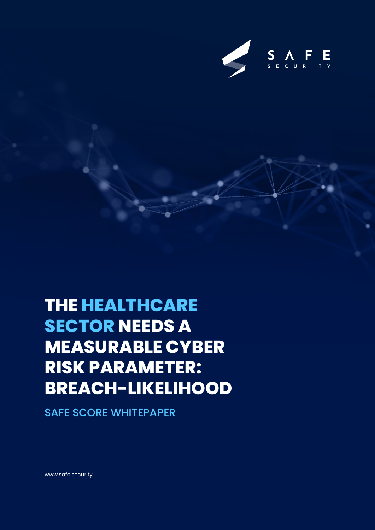

# **THE HEALTHCARE SECTOR NEEDS A MEASURABLE CYBER RISK PARAMETER: BREACH-LIKELIHOOD**

SAFE SCORE WHITEPAPER

www.safe.security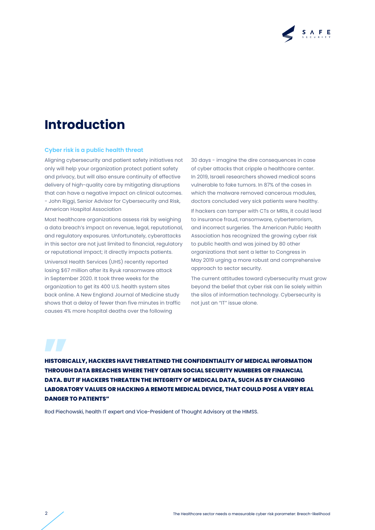

## **Introduction**

#### **Cyber risk is a public health threat**

Aligning cybersecurity and patient safety initiatives not only will help your organization protect patient safety and privacy, but will also ensure continuity of effective delivery of high-quality care by mitigating disruptions that can have a negative impact on clinical outcomes. - John Riggi, Senior Advisor for Cybersecurity and Risk, American Hospital Association

Most healthcare organizations assess risk by weighing a data breach's impact on revenue, legal, reputational, and regulatory exposures. Unfortunately, cyberattacks in this sector are not just limited to financial, regulatory or reputational impact; it directly impacts patients. Universal Health Services (UHS) recently reported losing \$67 million after its Ryuk ransomware attack in September 2020. It took three weeks for the organization to get its 400 U.S. health system sites back online. A New England Journal of Medicine study shows that a delay of fewer than five minutes in traffic causes 4% more hospital deaths over the following

30 days - imagine the dire consequences in case of cyber attacks that cripple a healthcare center. In 2019, Israeli researchers showed medical scans vulnerable to fake tumors. In 87% of the cases in which the malware removed cancerous modules, doctors concluded very sick patients were healthy.

If hackers can tamper with CTs or MRIs, it could lead to insurance fraud, ransomware, cyberterrorism, and incorrect surgeries. The American Public Health Association has recognized the growing cyber risk to public health and was joined by 80 other organizations that sent a letter to Congress in May 2019 urging a more robust and comprehensive approach to sector security.

The current attitudes toward cybersecurity must grow beyond the belief that cyber risk can lie solely within the silos of information technology. Cybersecurity is not just an "IT" issue alone.

**HISTORICALLY, HACKERS HAVE THREATENED THE CONFIDENTIALITY OF MEDICAL INFORMATION THROUGH DATA BREACHES WHERE THEY OBTAIN SOCIAL SECURITY NUMBERS OR FINANCIAL DATA. BUT IF HACKERS THREATEN THE INTEGRITY OF MEDICAL DATA, SUCH AS BY CHANGING LABORATORY VALUES OR HACKING A REMOTE MEDICAL DEVICE, THAT COULD POSE A VERY REAL DANGER TO PATIENTS"**

Rod Piechowski, health IT expert and Vice-President of Thought Advisory at the HIMSS.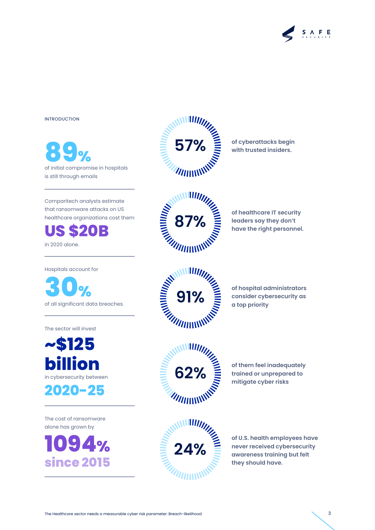

#### INTRODUCTION

of initial compromise in hospitals **89%** is still through emails

Comparitech analysts estimate that ransomware attacks on US healthcare organizations cost them

**US \$20B**

in 2020 alone.

Hospitals account for

of all significant data breaches. **30%**

The sector will invest

**~\$125 billion** in cybersecurity between

**2020-25**

The cost of ransomware alone has grown by

**1094% since 2015**



**of cyberattacks begin 57% with trusted insiders.** 



**of healthcare IT security leaders say they don't<br>have the right personnel.** 



**of hospital administrators** 

**of them feel inadequately trained or unprepared to mitigate cyber risks**





**of U.S. health employees have never received cybersecurity awareness training but felt they should have.**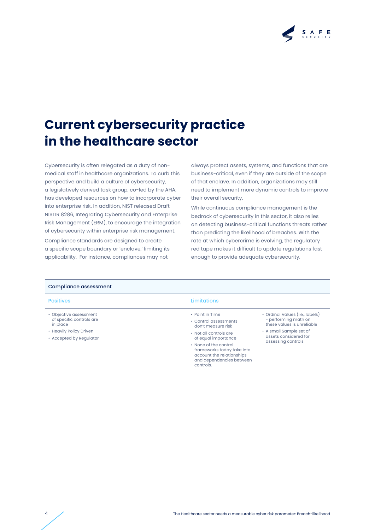

## **Current cybersecurity practice in the healthcare sector**

Cybersecurity is often relegated as a duty of nonmedical staff in healthcare organizations. To curb this perspective and build a culture of cybersecurity, a legislatively derived task group, co-led by the AHA, has developed resources on how to incorporate cyber into enterprise risk. In addition, NIST released Draft NISTIR 8286, Integrating Cybersecurity and Enterprise Risk Management (ERM), to encourage the integration of cybersecurity within enterprise risk management.

Compliance standards are designed to create a specific scope boundary or 'enclave,' limiting its applicability. For instance, compliances may not

always protect assets, systems, and functions that are business-critical, even if they are outside of the scope of that enclave. In addition, organizations may still need to implement more dynamic controls to improve their overall security.

While continuous compliance management is the bedrock of cybersecurity in this sector, it also relies on detecting business-critical functions threats rather than predicting the likelihood of breaches. With the rate at which cybercrime is evolving, the regulatory red tape makes it difficult to update regulations fast enough to provide adequate cybersecurity.

| <b>Positives</b>                                   | Limitations                                   |                                                                                       |  |
|----------------------------------------------------|-----------------------------------------------|---------------------------------------------------------------------------------------|--|
| • Objective assessment                             | • Point in Time                               | • Ordinal Values (i.e., labels)<br>- performing math on<br>these values is unreliable |  |
| of specific controls are<br>in place               | • Control assessments<br>don't measure risk   |                                                                                       |  |
| • Heavily Policy Driven<br>• Accepted by Regulator | • Not all controls are<br>of equal importance | • A small Sample set of<br>assets considered for<br>assessing controls                |  |
|                                                    |                                               |                                                                                       |  |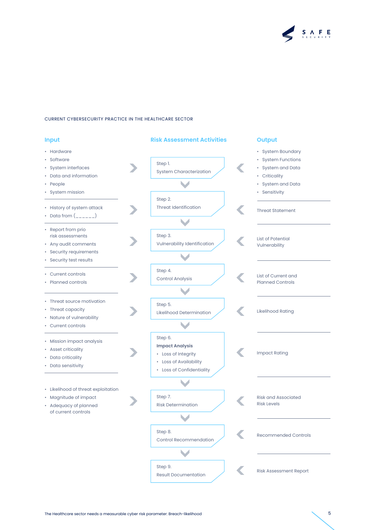

| <b>Input</b>                                                                                                         | <b>Risk Assessment Activities</b>                                                                               | <b>Output</b>                                                                                                     |
|----------------------------------------------------------------------------------------------------------------------|-----------------------------------------------------------------------------------------------------------------|-------------------------------------------------------------------------------------------------------------------|
| • Hardware<br>• Software<br>• System interfaces<br>• Data and information<br>• People<br>• System mission            | Step 1.<br><b>System Characterization</b>                                                                       | • System Boundary<br>• System Functions<br>• System and Data<br>• Criticality<br>System and Data<br>• Sensitivity |
| • History of system attack                                                                                           | Step 2.<br><b>Threat Identification</b>                                                                         | <b>Threat Statement</b>                                                                                           |
| • Report from prio<br>risk assessments<br>• Any audit comments<br>• Security requirements<br>• Security test results | Step 3.<br>Vulnerability Identification                                                                         | <b>List of Potential</b><br>Vulnerability                                                                         |
| • Current controls<br>• Planned controls                                                                             | Step 4.<br><b>Control Analysis</b>                                                                              | List of Current and<br><b>Planned Controls</b>                                                                    |
| • Threat source motivation<br>• Threat capacity<br>• Nature of vulnerability<br>• Current controls                   | Step 5.<br>Likelihood Determination                                                                             | <b>Likelihood Rating</b>                                                                                          |
| • Mission impact analysis<br>• Asset criticality<br>• Data criticality<br>• Data sensitivity                         | Step 6.<br><b>Impact Analysis</b><br>• Loss of Integrity<br>• Loss of Availability<br>• Loss of Confidentiality | <b>Impact Rating</b>                                                                                              |
| • Likelihood of threat exploitation<br>• Magnitude of impact<br>• Adequacy of planned<br>of current controls         | Step 7.<br><b>Risk Determination</b><br>J                                                                       | <b>Risk and Associated</b><br><b>Risk Levels</b>                                                                  |
|                                                                                                                      | Step 8.<br><b>Control Recommendation</b>                                                                        | <b>Recommended Controls</b>                                                                                       |
|                                                                                                                      | Step 9.<br><b>Result Documentation</b>                                                                          | <b>Risk Assessment Report</b>                                                                                     |

The Healthcare sector needs a measurable cyber risk parameter: Breach-likelihood 5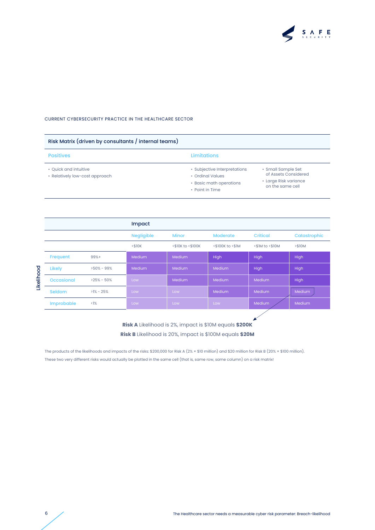

| Risk Matrix (driven by consultants / internal teams)    |                                                                                                |                                                                                         |  |  |
|---------------------------------------------------------|------------------------------------------------------------------------------------------------|-----------------------------------------------------------------------------------------|--|--|
| <b>Positives</b>                                        | <b>Limitations</b>                                                                             |                                                                                         |  |  |
| • Ouick and intuitive<br>• Relatively low-cost approach | • Subjective Interpretations<br>• Ordinal Values<br>• Basic math operations<br>• Point in Time | • Small Sample Set<br>of Assets Considered<br>• Large Risk variance<br>on the same cell |  |  |

|            |               |                | Impact            |                   |                  |                 |              |
|------------|---------------|----------------|-------------------|-------------------|------------------|-----------------|--------------|
|            |               |                | <b>Negligible</b> | <b>Minor</b>      | <b>Moderate</b>  | <b>Critical</b> | Catastrophic |
|            |               |                | <\$10K            | <\$10K to <\$100K | <\$100K to <\$1M | <\$1M to <\$10M | > \$10M      |
|            | Frequent      | $99%+$         | <b>Medium</b>     | Medium            | High             | High            | High         |
|            | Likely        | $>50\% - 99\%$ | <b>Medium</b>     | Medium            | Medium           | High            | High         |
| Likelihood | Occasional    | $>25\% - 50\%$ | Low               | Medium            | Medium           | Medium          | High         |
|            | <b>Seldom</b> | $>1\% - 25\%$  | Low               | Low               | Medium           | Medium          | Medium       |
|            | Improbable    | <1%            | Low               | Low               | Low              | Medium          | Medium       |
|            |               |                |                   |                   |                  |                 |              |

**Risk A** Likelihood is 2%, impact is \$10M equals **\$200K Risk B** Likelihood is 20%, impact is \$100M equals **\$20M**

The products of the likelihoods and impacts of the risks: \$200,000 for Risk A (2% × \$10 million) and \$20 million for Risk B (20% × \$100 million). These two very different risks would actually be plotted in the same cell (that is, same row, same column) on a risk matrix!

 $\boldsymbol{\kappa}$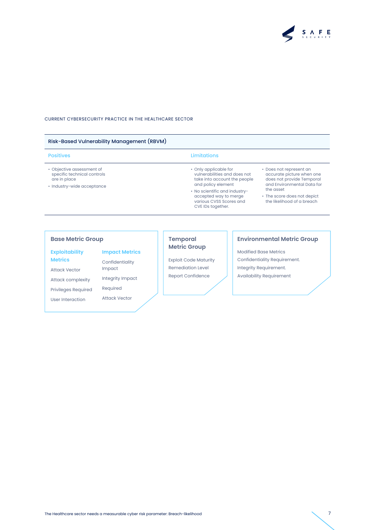

#### Risk-Based Vulnerability Management (RBVM)

- Objective assessment of specific technical controls are in place
- Industry-wide acceptance

### Positives **Limitations**

- Only applicable for vulnerabilities and does not take into account the people and policy element
- No scientific and industryaccepted way to merge various CVSS Scores and CVE IDs together.
- Does not represent an accurate picture when one does not provide Temporal and Environmental Data for the asset
- The score does not depict the likelihood of a breach

**Exploitability** 

**Metrics**

Attack Vector

Attack complexity Privileges Required

User Interaction

Integrity Impact Required Attack Vector

**Impact Metrics** Confidentiality Impact

### **Metric Group**

Exploit Code Maturity Remediation Level Report Confidence

#### **Base Metric Group Temporal Environmental Metric Group**

Modified Base Metrics Confidentiality Requirement. Integrity Requirement. Availability Requirement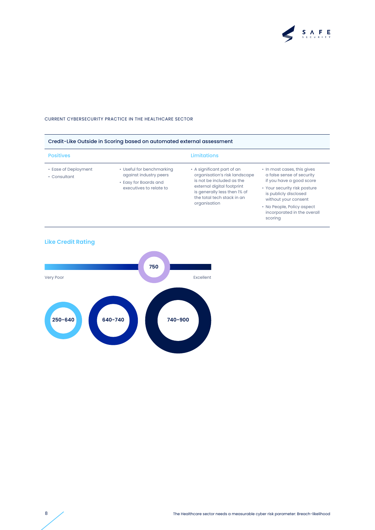

| <b>Positives</b>                     |                                                                                                         | <b>Limitations</b>                                                                                                                                                                                   |                                                                                                                                                                       |  |
|--------------------------------------|---------------------------------------------------------------------------------------------------------|------------------------------------------------------------------------------------------------------------------------------------------------------------------------------------------------------|-----------------------------------------------------------------------------------------------------------------------------------------------------------------------|--|
| • Ease of Deployment<br>• Consultant | • Useful for benchmarking<br>against industry peers<br>• Easy for Boards and<br>executives to relate to | • A significant part of an<br>organisation's risk landscape<br>is not be included as the<br>external digital footprint<br>is generally less then 1% of<br>the total tech stack in an<br>organisation | • In most cases, this gives<br>a false sense of security<br>if you have a good score<br>• Your security risk posture<br>is publicly disclosed<br>without your consent |  |
|                                      |                                                                                                         |                                                                                                                                                                                                      | • No People, Policy aspect<br>incorporated in the overall<br>scoring                                                                                                  |  |



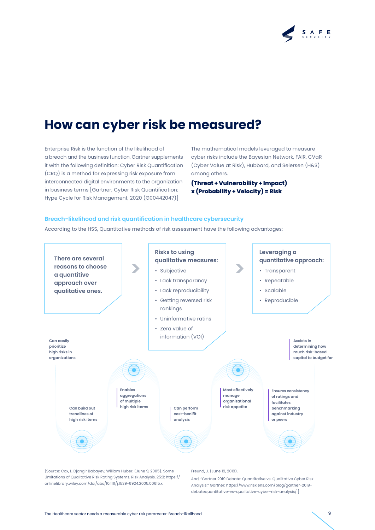

### **How can cyber risk be measured?**

Enterprise Risk is the function of the likelihood of a breach and the business function. Gartner supplements it with the following definition: Cyber Risk Quantification (CRQ) is a method for expressing risk exposure from interconnected digital environments to the organization in business terms [Gartner; Cyber Risk Quantification: Hype Cycle for Risk Management, 2020 (G00442047)]

The mathematical models leveraged to measure cyber risks include the Bayesian Network, FAIR, CVaR (Cyber Value at Risk), Hubbard, and Seiersen (H&S) among others.

**(Threat + Vulnerability + Impact) x (Probability + Velocity) = Risk**

#### **Breach-likelihood and risk quantification in healthcare cybersecurity**

According to the HSS, Quantitative methods of risk assessment have the following advantages:



[Source: Cox, L. Djangir Babayev, William Huber. (June 9, 2005). Some Limitations of Qualitative Risk Rating Systems. Risk Analysis, 25:3: https:// onlinelibrary.wiley.com/doi/abs/10.1111/j.1539-6924.2005.00615.x.

#### Freund, J. (June 19, 2019).

And, "Gartner 2019 Debate: Quantitative vs. Qualitative Cyber Risk Analysis." Gartner: https://www.risklens.com/blog/gartner-2019 debatequantitative-vs-qualitative-cyber-risk-analysis/ ]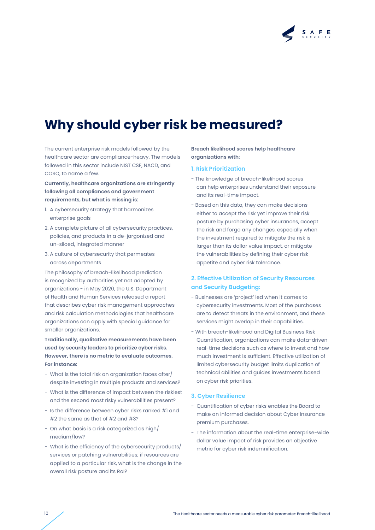

### **Why should cyber risk be measured?**

The current enterprise risk models followed by the healthcare sector are compliance-heavy. The models followed in this sector include NIST CSF, NACD, and COSO, to name a few.

**Currently, healthcare organizations are stringently following all compliances and government requirements, but what is missing is:**

- 1. A cybersecurity strategy that harmonizes enterprise goals
- 2. A complete picture of all cybersecurity practices, policies, and products in a de-jargonized and un-siloed, integrated manner
- 3. A culture of cybersecurity that permeates across departments

The philosophy of breach-likelihood prediction is recognized by authorities yet not adopted by organizations - in May 2020, the U.S. Department of Health and Human Services released a report that describes cyber risk management approaches and risk calculation methodologies that healthcare organizations can apply with special guidance for smaller organizations.

**Traditionally, qualitative measurements have been used by security leaders to prioritize cyber risks. However, there is no metric to evaluate outcomes. For instance:**

- What is the total risk an organization faces after/ despite investing in multiple products and services?
- What is the difference of impact between the riskiest and the second most risky vulnerabilities present?
- Is the difference between cyber risks ranked #1 and #2 the same as that of #2 and #3?
- On what basis is a risk categorized as high/ medium/low?
- What is the efficiency of the cybersecurity products/ services or patching vulnerabilities; if resources are applied to a particular risk, what is the change in the overall risk posture and its RoI?

**Breach likelihood scores help healthcare organizations with:**

#### **1. Risk Prioritization**

- The knowledge of breach-likelihood scores can help enterprises understand their exposure and its real-time impact.
- Based on this data, they can make decisions either to accept the risk yet improve their risk posture by purchasing cyber insurances, accept the risk and forgo any changes, especially when the investment required to mitigate the risk is larger than its dollar value impact, or mitigate the vulnerabilities by defining their cyber risk appetite and cyber risk tolerance.

### **2. Effective Utilization of Security Resources and Security Budgeting:**

- Businesses are 'project' led when it comes to cybersecurity investments. Most of the purchases are to detect threats in the environment, and these services might overlap in their capabilities.
- With breach-likelihood and Digital Business Risk Quantification, organizations can make data-driven real-time decisions such as where to invest and how much investment is sufficient. Effective utilization of limited cybersecurity budget limits duplication of technical abilities and guides investments based on cyber risk priorities.

#### **3. Cyber Resilience**

- Quantification of cyber risks enables the Board to make an informed decision about Cyber Insurance premium purchases.
- The information about the real-time enterprise-wide dollar value impact of risk provides an objective metric for cyber risk indemnification.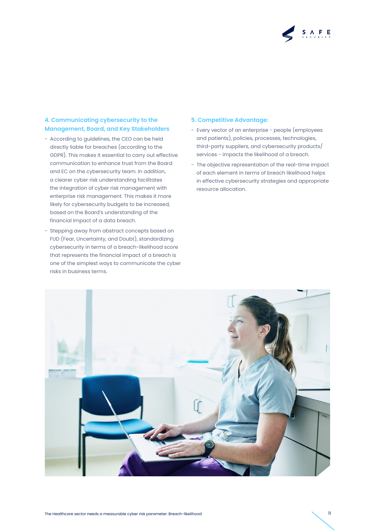

### **4. Communicating cybersecurity to the Management, Board, and Key Stakeholders**

- According to guidelines, the CEO can be held directly liable for breaches (according to the GDPR). This makes it essential to carry out effective communication to enhance trust from the Board and EC on the cybersecurity team. In addition, a clearer cyber risk understanding facilitates the integration of cyber risk management with enterprise risk management. This makes it more likely for cybersecurity budgets to be increased, based on the Board's understanding of the financial impact of a data breach.
- Stepping away from abstract concepts based on FUD (Fear, Uncertainty, and Doubt), standardizing cybersecurity in terms of a breach-likelihood score that represents the financial impact of a breach is one of the simplest ways to communicate the cyber risks in business terms.

#### **5. Competitive Advantage:**

- Every vector of an enterprise people (employees and patients), policies, processes, technologies, third-party suppliers, and cybersecurity products/ services - impacts the likelihood of a breach.
- The objective representation of the real-time impact of each element in terms of breach likelihood helps in effective cybersecurity strategies and appropriate resource allocation.

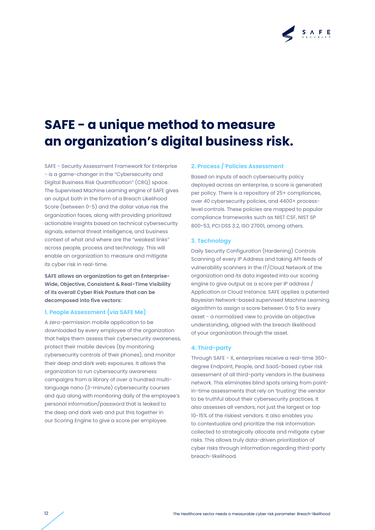

## **SAFE - a unique method to measure an organization's digital business risk.**

SAFE - Security Assessment Framework for Enterprise - is a game-changer in the "Cybersecurity and Digital Business Risk Quantification" (CRQ) space. The Supervised Machine Learning engine of SAFE gives an output both in the form of a Breach Likelihood Score (between 0-5) and the dollar value risk the organization faces, along with providing prioritized actionable insights based on technical cybersecurity signals, external threat intelligence, and business context of what and where are the "weakest links" across people, process and technology. This will enable an organization to measure and mitigate its cyber risk in real-time.

**SAFE allows an organization to get an Enterprise-Wide, Objective, Consistent & Real-Time Visibility of its overall Cyber Risk Posture that can be decomposed into five vectors:**

#### **1. People Assessment (via SAFE Me)**

A zero-permission mobile application to be downloaded by every employee of the organization that helps them assess their cybersecurity awareness, protect their mobile devices (by monitoring cybersecurity controls of their phones), and monitor their deep and dark web exposures. It allows the organization to run cybersecurity awareness campaigns from a library of over a hundred multilanguage nano (3-minute) cybersecurity courses and quiz along with monitoring daily of the employee's personal information/password that is leaked to the deep and dark web and put this together in our Scoring Engine to give a score per employee.

#### **2. Process / Policies Assessment**

Based on inputs of each cybersecurity policy deployed across an enterprise, a score is generated per policy. There is a repository of 25+ compliances, over 40 cybersecurity policies, and 4400+ processlevel controls. These policies are mapped to popular compliance frameworks such as NIST CSF, NIST SP 800-53, PCI DSS 3.2, ISO 27001, among others.

#### **3. Technology**

Daily Security Configuration (Hardening) Controls Scanning of every IP Address and taking API feeds of vulnerability scanners in the IT/Cloud Network of the organization and its data ingested into our scoring engine to give output as a score per IP address / Application or Cloud Instance. SAFE applies a patented Bayesian Network-based supervised Machine Learning algorithm to assign a score between 0 to 5 to every asset - a normalized view to provide an objective understanding, aligned with the breach likelihood of your organization through the asset.

#### **4. Third-party**

Through SAFE - X, enterprises receive a real-time 360 degree Endpoint, People, and SaaS-based cyber risk assessment of all third-party vendors in the business network. This eliminates blind spots arising from pointin-time assessments that rely on 'trusting' the vendor to be truthful about their cybersecurity practices. It also assesses all vendors, not just the largest or top 10-15% of the riskiest vendors. It also enables you to contextualize and prioritize the risk information collected to strategically allocate and mitigate cyber risks. This allows truly data-driven prioritization of cyber risks through information regarding third-party breach-likelihood.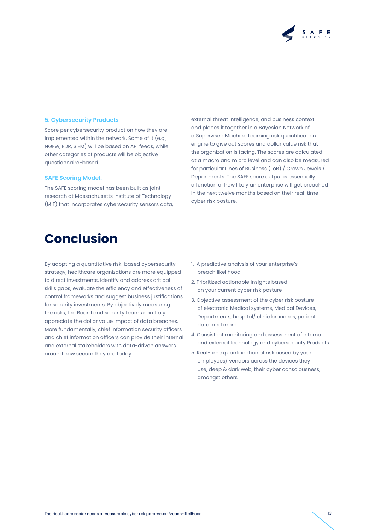

#### **5. Cybersecurity Products**

Score per cybersecurity product on how they are implemented within the network. Some of it (e.g., NGFW, EDR, SIEM) will be based on API feeds, while other categories of products will be objective questionnaire-based.

#### **SAFE Scoring Model:**

The SAFE scoring model has been built as joint research at Massachusetts Institute of Technology (MIT) that incorporates cybersecurity sensors data,

external threat intelligence, and business context and places it together in a Bayesian Network of a Supervised Machine Learning risk quantification engine to give out scores and dollar value risk that the organization is facing. The scores are calculated at a macro and micro level and can also be measured for particular Lines of Business (LoB) / Crown Jewels / Departments. The SAFE score output is essentially a function of how likely an enterprise will get breached in the next twelve months based on their real-time cyber risk posture.

### **Conclusion**

By adopting a quantitative risk-based cybersecurity strategy, healthcare organizations are more equipped to direct investments, identify and address critical skills gaps, evaluate the efficiency and effectiveness of control frameworks and suggest business justifications for security investments. By objectively measuring the risks, the Board and security teams can truly appreciate the dollar value impact of data breaches. More fundamentally, chief information security officers and chief information officers can provide their internal and external stakeholders with data-driven answers around how secure they are today.

- 1. A predictive analysis of your enterprise's breach likelihood
- 2. Prioritized actionable insights based on your current cyber risk posture
- 3. Objective assessment of the cyber risk posture of electronic Medical systems, Medical Devices, Departments, hospital/ clinic branches, patient data, and more
- 4. Consistent monitoring and assessment of internal and external technology and cybersecurity Products
- 5. Real-time quantification of risk posed by your employees/ vendors across the devices they use, deep & dark web, their cyber consciousness, amongst others